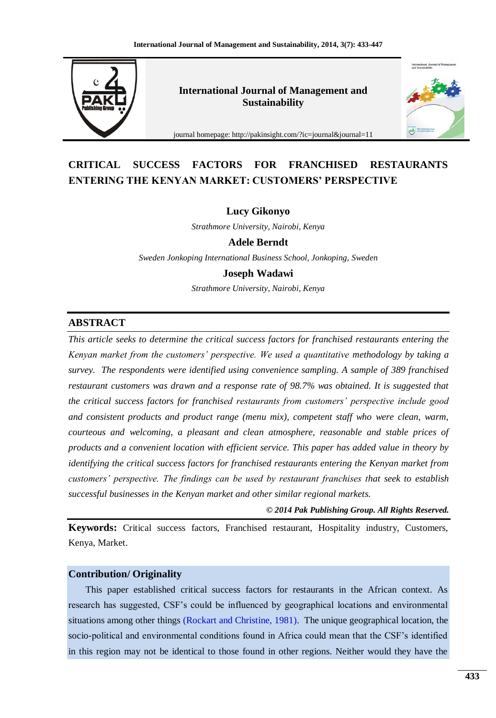

**International Journal of Management and Sustainability**



journal homepage: http://pakinsight.com/?ic=journal&journal=11

# **CRITICAL SUCCESS FACTORS FOR FRANCHISED RESTAURANTS ENTERING THE KENYAN MARKET: CUSTOMERS' PERSPECTIVE**

### **Lucy Gikonyo**

*Strathmore University, Nairobi, Kenya*

**Adele Berndt**

*Sweden Jonkoping International Business School, Jonkoping, Sweden*

**Joseph Wadawi**

*Strathmore University, Nairobi, Kenya*

## **ABSTRACT**

*This article seeks to determine the critical success factors for franchised restaurants entering the Kenyan market from the customers' perspective. We used a quantitative methodology by taking a survey. The respondents were identified using convenience sampling. A sample of 389 franchised restaurant customers was drawn and a response rate of 98.7% was obtained. It is suggested that the critical success factors for franchised restaurants from customers' perspective include good and consistent products and product range (menu mix), competent staff who were clean, warm, courteous and welcoming, a pleasant and clean atmosphere, reasonable and stable prices of products and a convenient location with efficient service. This paper has added value in theory by identifying the critical success factors for franchised restaurants entering the Kenyan market from customers' perspective. The findings can be used by restaurant franchises that seek to establish successful businesses in the Kenyan market and other similar regional markets.*

*© 2014 Pak Publishing Group. All Rights Reserved.*

**Keywords:** Critical success factors, Franchised restaurant, Hospitality industry, Customers, Kenya, Market.

## **Contribution/ Originality**

This paper established critical success factors for restaurants in the African context. As research has suggested, CSF"s could be influenced by geographical locations and environmental situations among other things [\(Rockart and Christine, 1981\)](#page-12-0). The unique geographical location, the socio-political and environmental conditions found in Africa could mean that the CSF"s identified in this region may not be identical to those found in other regions. Neither would they have the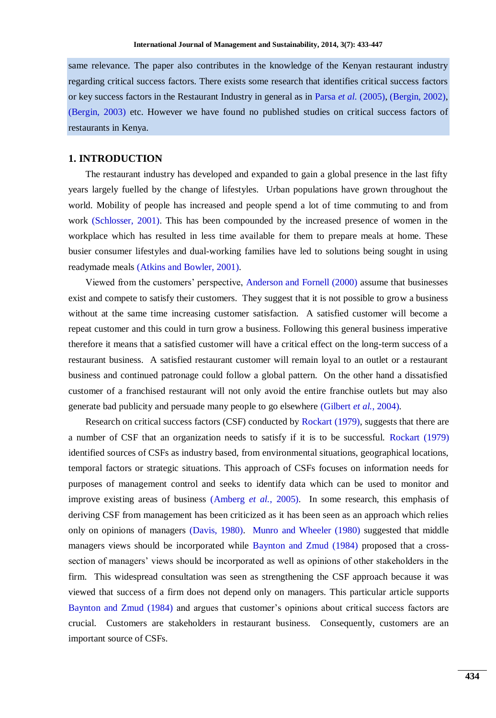same relevance. The paper also contributes in the knowledge of the Kenyan restaurant industry regarding critical success factors. There exists some research that identifies critical success factors or key success factors in the Restaurant Industry in general as in Parsa *et al.* [\(2005\)](#page-12-1), [\(Bergin, 2002\)](#page-11-0), [\(Bergin, 2003\)](#page-11-1) etc. However we have found no published studies on critical success factors of restaurants in Kenya.

## **1. INTRODUCTION**

The restaurant industry has developed and expanded to gain a global presence in the last fifty years largely fuelled by the change of lifestyles. Urban populations have grown throughout the world. Mobility of people has increased and people spend a lot of time commuting to and from work [\(Schlosser, 2001\)](#page-12-2). This has been compounded by the increased presence of women in the workplace which has resulted in less time available for them to prepare meals at home. These busier consumer lifestyles and dual-working families have led to solutions being sought in using readymade meals [\(Atkins and Bowler, 2001\)](#page-11-2).

Viewed from the customers" perspective, [Anderson and Fornell \(2000\)](#page-11-3) assume that businesses exist and compete to satisfy their customers. They suggest that it is not possible to grow a business without at the same time increasing customer satisfaction. A satisfied customer will become a repeat customer and this could in turn grow a business. Following this general business imperative therefore it means that a satisfied customer will have a critical effect on the long-term success of a restaurant business. A satisfied restaurant customer will remain loyal to an outlet or a restaurant business and continued patronage could follow a global pattern. On the other hand a dissatisfied customer of a franchised restaurant will not only avoid the entire franchise outlets but may also generate bad publicity and persuade many people to go elsewhere [\(Gilbert](#page-11-4) *et al.*, 2004).

Research on critical success factors (CSF) conducted b[y Rockart \(1979\)](#page-12-3), suggests that there are a number of CSF that an organization needs to satisfy if it is to be successful. [Rockart \(1979\)](#page-12-3) identified sources of CSFs as industry based, from environmental situations, geographical locations, temporal factors or strategic situations. This approach of CSFs focuses on information needs for purposes of management control and seeks to identify data which can be used to monitor and improve existing areas of business [\(Amberg](#page-11-5) *et al.*, 2005). In some research, this emphasis of deriving CSF from management has been criticized as it has been seen as an approach which relies only on opinions of managers [\(Davis, 1980\)](#page-11-6). [Munro and Wheeler \(1980\)](#page-12-4) suggested that middle managers views should be incorporated while [Baynton and Zmud \(1984\)](#page-11-7) proposed that a crosssection of managers' views should be incorporated as well as opinions of other stakeholders in the firm. This widespread consultation was seen as strengthening the CSF approach because it was viewed that success of a firm does not depend only on managers. This particular article supports [Baynton and Zmud \(1984\)](#page-11-7) and argues that customer"s opinions about critical success factors are crucial. Customers are stakeholders in restaurant business. Consequently, customers are an important source of CSFs.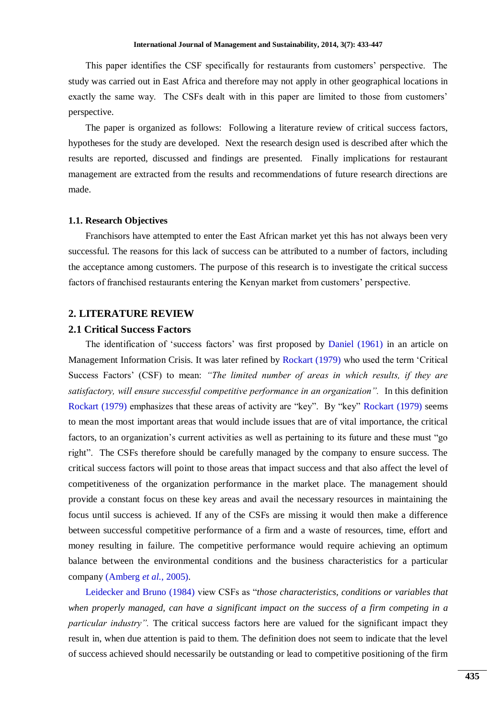This paper identifies the CSF specifically for restaurants from customers" perspective. The study was carried out in East Africa and therefore may not apply in other geographical locations in exactly the same way. The CSFs dealt with in this paper are limited to those from customers' perspective.

The paper is organized as follows: Following a literature review of critical success factors, hypotheses for the study are developed. Next the research design used is described after which the results are reported, discussed and findings are presented. Finally implications for restaurant management are extracted from the results and recommendations of future research directions are made.

#### **1.1. Research Objectives**

Franchisors have attempted to enter the East African market yet this has not always been very successful. The reasons for this lack of success can be attributed to a number of factors, including the acceptance among customers. The purpose of this research is to investigate the critical success factors of franchised restaurants entering the Kenyan market from customers" perspective.

#### **2. LITERATURE REVIEW**

## **2.1 Critical Success Factors**

The identification of 'success factors' was first proposed by [Daniel \(1961\)](#page-11-8) in an article on Management Information Crisis. It was later refined by [Rockart \(1979\)](#page-12-3) who used the term "Critical Success Factors" (CSF) to mean: *"The limited number of areas in which results, if they are satisfactory, will ensure successful competitive performance in an organization".* In this definition [Rockart \(1979\)](#page-12-3) emphasizes that these areas of activity are "key". By "key" [Rockart \(1979\)](#page-12-3) seems to mean the most important areas that would include issues that are of vital importance, the critical factors, to an organization's current activities as well as pertaining to its future and these must "go right". The CSFs therefore should be carefully managed by the company to ensure success. The critical success factors will point to those areas that impact success and that also affect the level of competitiveness of the organization performance in the market place. The management should provide a constant focus on these key areas and avail the necessary resources in maintaining the focus until success is achieved. If any of the CSFs are missing it would then make a difference between successful competitive performance of a firm and a waste of resources, time, effort and money resulting in failure. The competitive performance would require achieving an optimum balance between the environmental conditions and the business characteristics for a particular company [\(Amberg](#page-11-5) *et al.*, 2005).

[Leidecker and Bruno \(1984\)](#page-11-9) view CSFs as "*those characteristics, conditions or variables that when properly managed, can have a significant impact on the success of a firm competing in a particular industry"*. The critical success factors here are valued for the significant impact they result in, when due attention is paid to them. The definition does not seem to indicate that the level of success achieved should necessarily be outstanding or lead to competitive positioning of the firm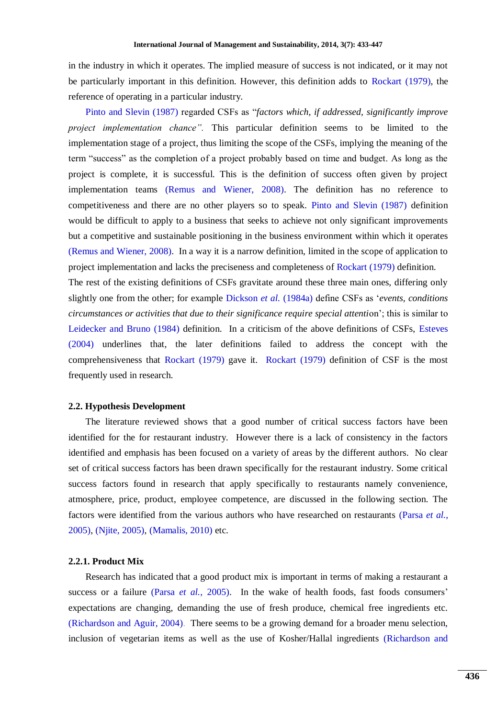in the industry in which it operates. The implied measure of success is not indicated, or it may not be particularly important in this definition. However, this definition adds to [Rockart \(1979\)](#page-12-3), the reference of operating in a particular industry.

[Pinto and Slevin \(1987\)](#page-12-5) regarded CSFs as "*factors which, if addressed, significantly improve project implementation chance".* This particular definition seems to be limited to the implementation stage of a project, thus limiting the scope of the CSFs, implying the meaning of the term "success" as the completion of a project probably based on time and budget. As long as the project is complete, it is successful. This is the definition of success often given by project implementation teams [\(Remus and Wiener, 2008\)](#page-12-6). The definition has no reference to competitiveness and there are no other players so to speak. [Pinto and Slevin \(1987\)](#page-12-5) definition would be difficult to apply to a business that seeks to achieve not only significant improvements but a competitive and sustainable positioning in the business environment within which it operates [\(Remus and Wiener, 2008\)](#page-12-6). In a way it is a narrow definition, limited in the scope of application to project implementation and lacks the preciseness and completeness of [Rockart \(1979\)](#page-12-3) definition.

The rest of the existing definitions of CSFs gravitate around these three main ones, differing only slightly one from the other; for example [Dickson](#page-11-10) *et al.* (1984a) define CSFs as "*events, conditions circumstances or activities that due to their significance require special attenti*on"; this is similar to [Leidecker and Bruno \(1984\)](#page-11-9) definition. In a criticism of the above definitions of CSFs, [Esteves](#page-11-11)  [\(2004\)](#page-11-11) underlines that, the later definitions failed to address the concept with the comprehensiveness that [Rockart \(1979\)](#page-12-3) gave it. [Rockart \(1979\)](#page-12-3) definition of CSF is the most frequently used in research.

#### **2.2. Hypothesis Development**

The literature reviewed shows that a good number of critical success factors have been identified for the for restaurant industry. However there is a lack of consistency in the factors identified and emphasis has been focused on a variety of areas by the different authors. No clear set of critical success factors has been drawn specifically for the restaurant industry. Some critical success factors found in research that apply specifically to restaurants namely convenience, atmosphere, price, product, employee competence, are discussed in the following section. The factors were identified from the various authors who have researched on restaurants [\(Parsa](#page-12-1) *et al.*, [2005\)](#page-12-1), [\(Njite, 2005\)](#page-12-7), [\(Mamalis, 2010\)](#page-12-8) etc.

#### **2.2.1. Product Mix**

Research has indicated that a good product mix is important in terms of making a restaurant a success or a failure (Parsa *et al.*[, 2005\)](#page-12-1). In the wake of health foods, fast foods consumers' expectations are changing, demanding the use of fresh produce, chemical free ingredients etc. [\(Richardson and Aguir, 2004\)](#page-12-9). There seems to be a growing demand for a broader menu selection, inclusion of vegetarian items as well as the use of Kosher/Hallal ingredients [\(Richardson and](#page-12-9)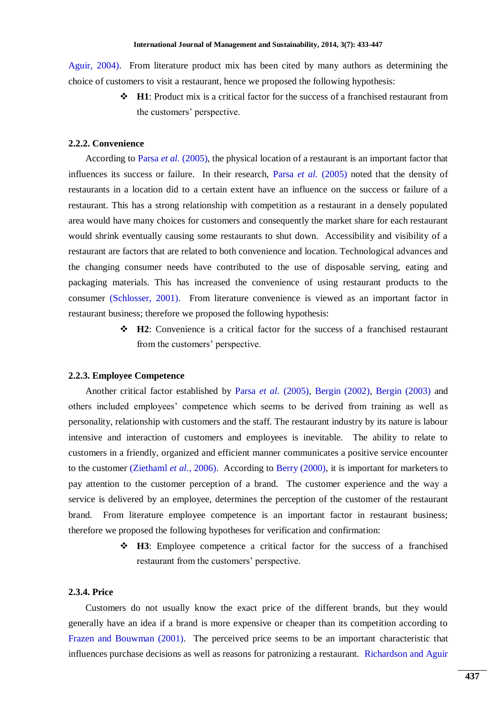[Aguir, 2004\)](#page-12-9). From literature product mix has been cited by many authors as determining the choice of customers to visit a restaurant, hence we proposed the following hypothesis:

> **H1**: Product mix is a critical factor for the success of a franchised restaurant from the customers' perspective.

## **2.2.2. Convenience**

According to Parsa *et al.* [\(2005\)](#page-12-1), the physical location of a restaurant is an important factor that influences its success or failure. In their research, Parsa *et al.* [\(2005\)](#page-12-1) noted that the density of restaurants in a location did to a certain extent have an influence on the success or failure of a restaurant. This has a strong relationship with competition as a restaurant in a densely populated area would have many choices for customers and consequently the market share for each restaurant would shrink eventually causing some restaurants to shut down. Accessibility and visibility of a restaurant are factors that are related to both convenience and location. Technological advances and the changing consumer needs have contributed to the use of disposable serving, eating and packaging materials. This has increased the convenience of using restaurant products to the consumer [\(Schlosser, 2001\)](#page-12-2). From literature convenience is viewed as an important factor in restaurant business; therefore we proposed the following hypothesis:

> **H2**: Convenience is a critical factor for the success of a franchised restaurant from the customers' perspective.

#### **2.2.3. Employee Competence**

Another critical factor established by Parsa *et al.* [\(2005\)](#page-12-1), [Bergin \(2002\)](#page-11-0), [Bergin \(2003\)](#page-11-1) and others included employees" competence which seems to be derived from training as well as personality, relationship with customers and the staff. The restaurant industry by its nature is labour intensive and interaction of customers and employees is inevitable. The ability to relate to customers in a friendly, organized and efficient manner communicates a positive service encounter to the customer [\(Ziethaml](#page-12-10) *et al.*, 2006). According to [Berry \(2000\)](#page-11-12), it is important for marketers to pay attention to the customer perception of a brand. The customer experience and the way a service is delivered by an employee, determines the perception of the customer of the restaurant brand. From literature employee competence is an important factor in restaurant business; therefore we proposed the following hypotheses for verification and confirmation:

> **H3**: Employee competence a critical factor for the success of a franchised restaurant from the customers' perspective.

## **2.3.4. Price**

Customers do not usually know the exact price of the different brands, but they would generally have an idea if a brand is more expensive or cheaper than its competition according to [Frazen and Bouwman \(2001\)](#page-11-13). The perceived price seems to be an important characteristic that influences purchase decisions as well as reasons for patronizing a restaurant. [Richardson and Aguir](#page-12-9)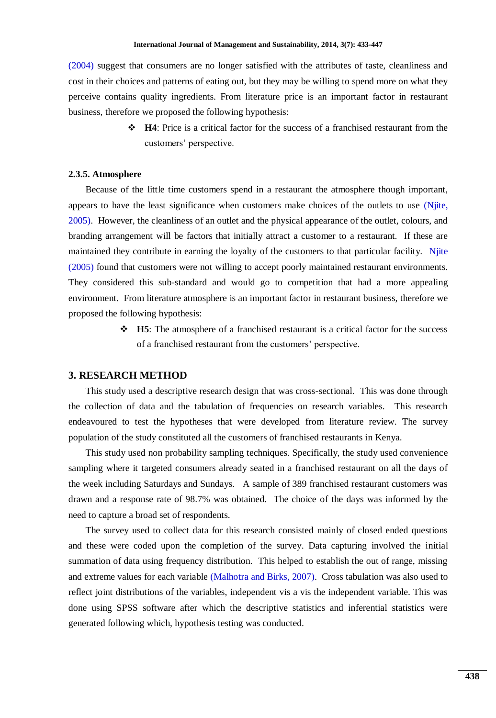[\(2004\)](#page-12-9) suggest that consumers are no longer satisfied with the attributes of taste, cleanliness and cost in their choices and patterns of eating out, but they may be willing to spend more on what they perceive contains quality ingredients. From literature price is an important factor in restaurant business, therefore we proposed the following hypothesis:

> **H4**: Price is a critical factor for the success of a franchised restaurant from the customers" perspective.

#### **2.3.5. Atmosphere**

Because of the little time customers spend in a restaurant the atmosphere though important, appears to have the least significance when customers make choices of the outlets to use [\(Njite,](#page-12-7)  [2005\)](#page-12-7). However, the cleanliness of an outlet and the physical appearance of the outlet, colours, and branding arrangement will be factors that initially attract a customer to a restaurant. If these are maintained they contribute in earning the loyalty of the customers to that particular facility. [Njite](#page-12-7)  [\(2005\)](#page-12-7) found that customers were not willing to accept poorly maintained restaurant environments. They considered this sub-standard and would go to competition that had a more appealing environment. From literature atmosphere is an important factor in restaurant business, therefore we proposed the following hypothesis:

> **H5**: The atmosphere of a franchised restaurant is a critical factor for the success of a franchised restaurant from the customers" perspective.

#### **3. RESEARCH METHOD**

This study used a descriptive research design that was cross-sectional. This was done through the collection of data and the tabulation of frequencies on research variables. This research endeavoured to test the hypotheses that were developed from literature review. The survey population of the study constituted all the customers of franchised restaurants in Kenya.

This study used non probability sampling techniques. Specifically, the study used convenience sampling where it targeted consumers already seated in a franchised restaurant on all the days of the week including Saturdays and Sundays. A sample of 389 franchised restaurant customers was drawn and a response rate of 98.7% was obtained. The choice of the days was informed by the need to capture a broad set of respondents.

The survey used to collect data for this research consisted mainly of closed ended questions and these were coded upon the completion of the survey. Data capturing involved the initial summation of data using frequency distribution. This helped to establish the out of range, missing and extreme values for each variable [\(Malhotra and Birks, 2007\)](#page-12-11). Cross tabulation was also used to reflect joint distributions of the variables, independent vis a vis the independent variable. This was done using SPSS software after which the descriptive statistics and inferential statistics were generated following which, hypothesis testing was conducted.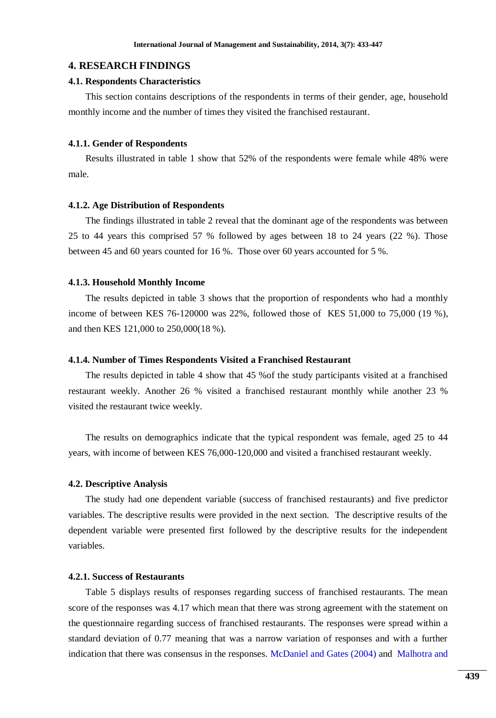### **4. RESEARCH FINDINGS**

#### **4.1. Respondents Characteristics**

This section contains descriptions of the respondents in terms of their gender, age, household monthly income and the number of times they visited the franchised restaurant.

#### **4.1.1. Gender of Respondents**

Results illustrated in table 1 show that 52% of the respondents were female while 48% were male.

#### **4.1.2. Age Distribution of Respondents**

The findings illustrated in table 2 reveal that the dominant age of the respondents was between 25 to 44 years this comprised 57 % followed by ages between 18 to 24 years (22 %). Those between 45 and 60 years counted for 16 %. Those over 60 years accounted for 5 %.

#### **4.1.3. Household Monthly Income**

The results depicted in table 3 shows that the proportion of respondents who had a monthly income of between KES 76-120000 was 22%, followed those of KES 51,000 to 75,000 (19 %), and then KES 121,000 to 250,000(18 %).

#### **4.1.4. Number of Times Respondents Visited a Franchised Restaurant**

The results depicted in table 4 show that 45 %of the study participants visited at a franchised restaurant weekly. Another 26 % visited a franchised restaurant monthly while another 23 % visited the restaurant twice weekly.

The results on demographics indicate that the typical respondent was female, aged 25 to 44 years, with income of between KES 76,000-120,000 and visited a franchised restaurant weekly.

#### **4.2. Descriptive Analysis**

The study had one dependent variable (success of franchised restaurants) and five predictor variables. The descriptive results were provided in the next section. The descriptive results of the dependent variable were presented first followed by the descriptive results for the independent variables.

#### **4.2.1. Success of Restaurants**

Table 5 displays results of responses regarding success of franchised restaurants. The mean score of the responses was 4.17 which mean that there was strong agreement with the statement on the questionnaire regarding success of franchised restaurants. The responses were spread within a standard deviation of 0.77 meaning that was a narrow variation of responses and with a further indication that there was consensus in the responses. [McDaniel and Gates \(2004\)](#page-12-12) and [Malhotra and](#page-12-11)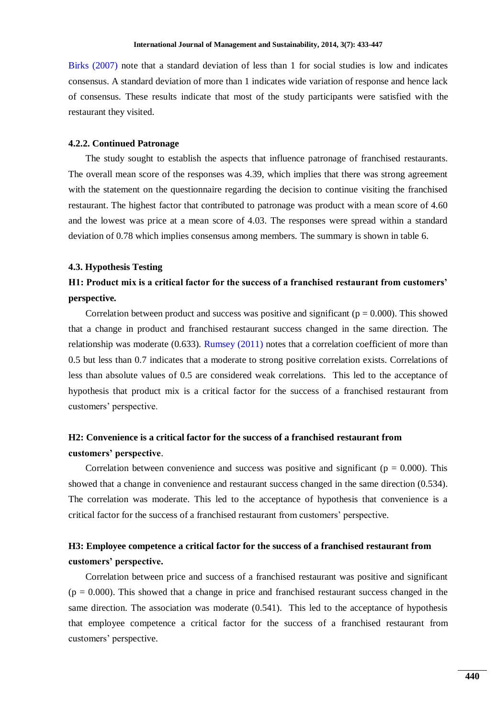[Birks \(2007\)](#page-12-11) note that a standard deviation of less than 1 for social studies is low and indicates consensus. A standard deviation of more than 1 indicates wide variation of response and hence lack of consensus. These results indicate that most of the study participants were satisfied with the restaurant they visited.

#### **4.2.2. Continued Patronage**

The study sought to establish the aspects that influence patronage of franchised restaurants. The overall mean score of the responses was 4.39, which implies that there was strong agreement with the statement on the questionnaire regarding the decision to continue visiting the franchised restaurant. The highest factor that contributed to patronage was product with a mean score of 4.60 and the lowest was price at a mean score of 4.03. The responses were spread within a standard deviation of 0.78 which implies consensus among members. The summary is shown in table 6.

#### **4.3. Hypothesis Testing**

## **H1: Product mix is a critical factor for the success of a franchised restaurant from customers' perspective***.*

Correlation between product and success was positive and significant ( $p = 0.000$ ). This showed that a change in product and franchised restaurant success changed in the same direction. The relationship was moderate (0.633). [Rumsey \(2011\)](#page-12-13) notes that a correlation coefficient of more than 0.5 but less than 0.7 indicates that a moderate to strong positive correlation exists. Correlations of less than absolute values of 0.5 are considered weak correlations. This led to the acceptance of hypothesis that product mix is a critical factor for the success of a franchised restaurant from customers" perspective.

## **H2: Convenience is a critical factor for the success of a franchised restaurant from customers' perspective**.

Correlation between convenience and success was positive and significant ( $p = 0.000$ ). This showed that a change in convenience and restaurant success changed in the same direction (0.534). The correlation was moderate. This led to the acceptance of hypothesis that convenience is a critical factor for the success of a franchised restaurant from customers" perspective.

## **H3: Employee competence a critical factor for the success of a franchised restaurant from customers' perspective.**

Correlation between price and success of a franchised restaurant was positive and significant  $(p = 0.000)$ . This showed that a change in price and franchised restaurant success changed in the same direction. The association was moderate (0.541). This led to the acceptance of hypothesis that employee competence a critical factor for the success of a franchised restaurant from customers" perspective.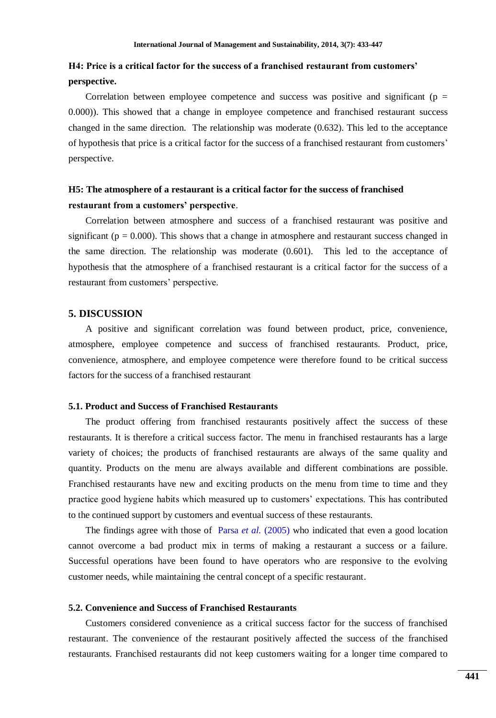## **H4: Price is a critical factor for the success of a franchised restaurant from customers' perspective.**

Correlation between employee competence and success was positive and significant ( $p =$ 0.000)). This showed that a change in employee competence and franchised restaurant success changed in the same direction. The relationship was moderate  $(0.632)$ . This led to the acceptance of hypothesis that price is a critical factor for the success of a franchised restaurant from customers" perspective.

## **H5: The atmosphere of a restaurant is a critical factor for the success of franchised restaurant from a customers' perspective**.

Correlation between atmosphere and success of a franchised restaurant was positive and significant ( $p = 0.000$ ). This shows that a change in atmosphere and restaurant success changed in the same direction. The relationship was moderate (0.601). This led to the acceptance of hypothesis that the atmosphere of a franchised restaurant is a critical factor for the success of a restaurant from customers' perspective.

## **5. DISCUSSION**

A positive and significant correlation was found between product, price, convenience, atmosphere, employee competence and success of franchised restaurants. Product, price, convenience, atmosphere, and employee competence were therefore found to be critical success factors for the success of a franchised restaurant

### **5.1. Product and Success of Franchised Restaurants**

The product offering from franchised restaurants positively affect the success of these restaurants. It is therefore a critical success factor. The menu in franchised restaurants has a large variety of choices; the products of franchised restaurants are always of the same quality and quantity. Products on the menu are always available and different combinations are possible. Franchised restaurants have new and exciting products on the menu from time to time and they practice good hygiene habits which measured up to customers" expectations. This has contributed to the continued support by customers and eventual success of these restaurants.

The findings agree with those of Parsa *et al.* [\(2005\)](#page-12-1) who indicated that even a good location cannot overcome a bad product mix in terms of making a restaurant a success or a failure. Successful operations have been found to have operators who are responsive to the evolving customer needs, while maintaining the central concept of a specific restaurant.

#### **5.2. Convenience and Success of Franchised Restaurants**

Customers considered convenience as a critical success factor for the success of franchised restaurant. The convenience of the restaurant positively affected the success of the franchised restaurants. Franchised restaurants did not keep customers waiting for a longer time compared to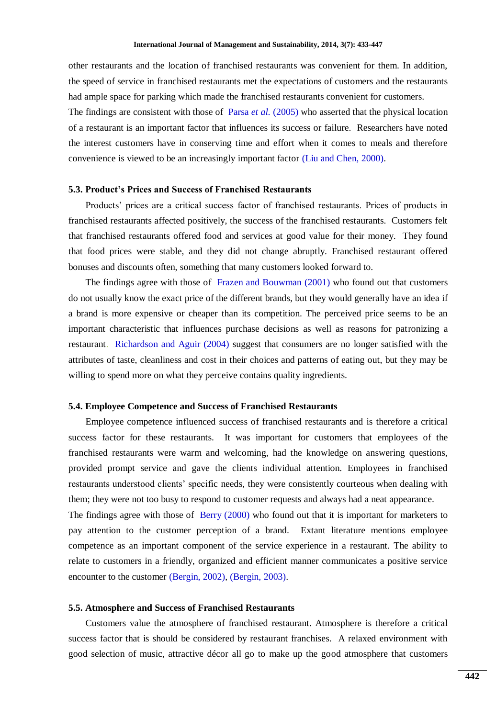other restaurants and the location of franchised restaurants was convenient for them. In addition, the speed of service in franchised restaurants met the expectations of customers and the restaurants had ample space for parking which made the franchised restaurants convenient for customers.

The findings are consistent with those of Parsa *et al.* [\(2005\)](#page-12-1) who asserted that the physical location of a restaurant is an important factor that influences its success or failure. Researchers have noted the interest customers have in conserving time and effort when it comes to meals and therefore convenience is viewed to be an increasingly important factor [\(Liu and Chen, 2000\)](#page-12-14).

## **5.3. Product's Prices and Success of Franchised Restaurants**

Products" prices are a critical success factor of franchised restaurants. Prices of products in franchised restaurants affected positively, the success of the franchised restaurants. Customers felt that franchised restaurants offered food and services at good value for their money. They found that food prices were stable, and they did not change abruptly. Franchised restaurant offered bonuses and discounts often, something that many customers looked forward to.

The findings agree with those of [Frazen and Bouwman \(2001\)](#page-11-13) who found out that customers do not usually know the exact price of the different brands, but they would generally have an idea if a brand is more expensive or cheaper than its competition. The perceived price seems to be an important characteristic that influences purchase decisions as well as reasons for patronizing a restaurant. [Richardson and Aguir \(2004\)](#page-12-9) suggest that consumers are no longer satisfied with the attributes of taste, cleanliness and cost in their choices and patterns of eating out, but they may be willing to spend more on what they perceive contains quality ingredients.

#### **5.4. Employee Competence and Success of Franchised Restaurants**

Employee competence influenced success of franchised restaurants and is therefore a critical success factor for these restaurants. It was important for customers that employees of the franchised restaurants were warm and welcoming, had the knowledge on answering questions, provided prompt service and gave the clients individual attention. Employees in franchised restaurants understood clients" specific needs, they were consistently courteous when dealing with them; they were not too busy to respond to customer requests and always had a neat appearance.

The findings agree with those of [Berry \(2000\)](#page-11-12) who found out that it is important for marketers to pay attention to the customer perception of a brand. Extant literature mentions employee competence as an important component of the service experience in a restaurant. The ability to relate to customers in a friendly, organized and efficient manner communicates a positive service encounter to the customer [\(Bergin, 2002\)](#page-11-0), [\(Bergin, 2003\)](#page-11-1).

#### **5.5. Atmosphere and Success of Franchised Restaurants**

Customers value the atmosphere of franchised restaurant. Atmosphere is therefore a critical success factor that is should be considered by restaurant franchises. A relaxed environment with good selection of music, attractive décor all go to make up the good atmosphere that customers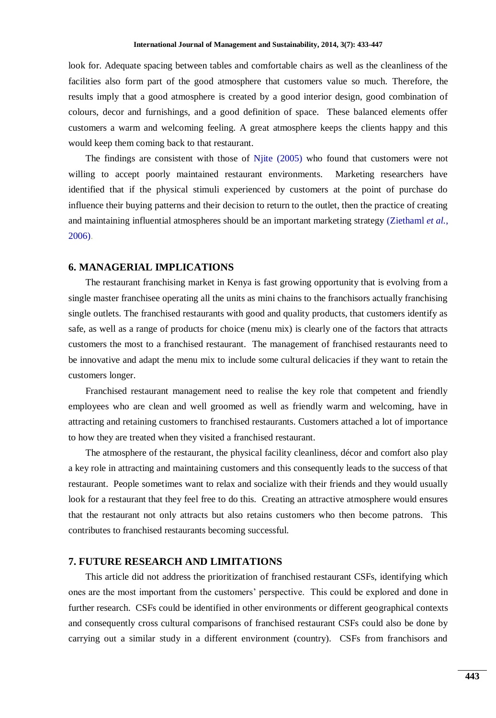look for. Adequate spacing between tables and comfortable chairs as well as the cleanliness of the facilities also form part of the good atmosphere that customers value so much. Therefore, the results imply that a good atmosphere is created by a good interior design, good combination of colours, decor and furnishings, and a good definition of space. These balanced elements offer customers a warm and welcoming feeling. A great atmosphere keeps the clients happy and this would keep them coming back to that restaurant.

The findings are consistent with those of [Njite \(2005\)](#page-12-7) who found that customers were not willing to accept poorly maintained restaurant environments. Marketing researchers have identified that if the physical stimuli experienced by customers at the point of purchase do influence their buying patterns and their decision to return to the outlet, then the practice of creating and maintaining influential atmospheres should be an important marketing strategy [\(Ziethaml](#page-12-10) *et al.*, [2006\)](#page-12-10).

## **6. MANAGERIAL IMPLICATIONS**

The restaurant franchising market in Kenya is fast growing opportunity that is evolving from a single master franchisee operating all the units as mini chains to the franchisors actually franchising single outlets. The franchised restaurants with good and quality products, that customers identify as safe, as well as a range of products for choice (menu mix) is clearly one of the factors that attracts customers the most to a franchised restaurant. The management of franchised restaurants need to be innovative and adapt the menu mix to include some cultural delicacies if they want to retain the customers longer.

Franchised restaurant management need to realise the key role that competent and friendly employees who are clean and well groomed as well as friendly warm and welcoming, have in attracting and retaining customers to franchised restaurants. Customers attached a lot of importance to how they are treated when they visited a franchised restaurant.

The atmosphere of the restaurant, the physical facility cleanliness, décor and comfort also play a key role in attracting and maintaining customers and this consequently leads to the success of that restaurant. People sometimes want to relax and socialize with their friends and they would usually look for a restaurant that they feel free to do this. Creating an attractive atmosphere would ensures that the restaurant not only attracts but also retains customers who then become patrons. This contributes to franchised restaurants becoming successful.

## **7. FUTURE RESEARCH AND LIMITATIONS**

This article did not address the prioritization of franchised restaurant CSFs, identifying which ones are the most important from the customers" perspective. This could be explored and done in further research. CSFs could be identified in other environments or different geographical contexts and consequently cross cultural comparisons of franchised restaurant CSFs could also be done by carrying out a similar study in a different environment (country). CSFs from franchisors and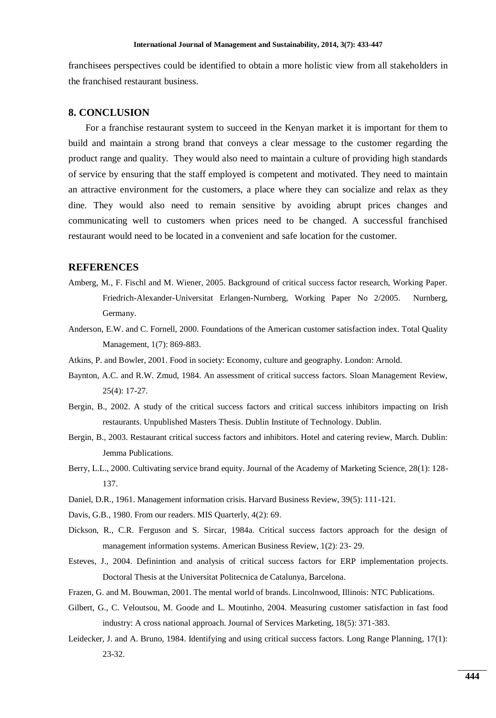franchisees perspectives could be identified to obtain a more holistic view from all stakeholders in the franchised restaurant business.

### **8. CONCLUSION**

For a franchise restaurant system to succeed in the Kenyan market it is important for them to build and maintain a strong brand that conveys a clear message to the customer regarding the product range and quality. They would also need to maintain a culture of providing high standards of service by ensuring that the staff employed is competent and motivated. They need to maintain an attractive environment for the customers, a place where they can socialize and relax as they dine. They would also need to remain sensitive by avoiding abrupt prices changes and communicating well to customers when prices need to be changed. A successful franchised restaurant would need to be located in a convenient and safe location for the customer.

## **REFERENCES**

- <span id="page-11-5"></span>Amberg, M., F. Fischl and M. Wiener, 2005. Background of critical success factor research, Working Paper. Friedrich-Alexander-Universitat Erlangen-Nurnberg, Working Paper No 2/2005. Nurnberg, Germany.
- <span id="page-11-3"></span>Anderson, E.W. and C. Fornell, 2000. Foundations of the American customer satisfaction index. Total Quality Management, 1(7): 869-883.
- <span id="page-11-2"></span>Atkins, P. and Bowler, 2001. Food in society: Economy, culture and geography. London: Arnold.
- <span id="page-11-7"></span>Baynton, A.C. and R.W. Zmud, 1984. An assessment of critical success factors. Sloan Management Review, 25(4): 17-27.
- <span id="page-11-0"></span>Bergin, B., 2002. A study of the critical success factors and critical success inhibitors impacting on Irish restaurants. Unpublished Masters Thesis. Dublin Institute of Technology. Dublin.
- <span id="page-11-1"></span>Bergin, B., 2003. Restaurant critical success factors and inhibitors. Hotel and catering review, March. Dublin: Jemma Publications.
- <span id="page-11-12"></span>Berry, L.L., 2000. Cultivating service brand equity. Journal of the Academy of Marketing Science, 28(1): 128- 137.
- <span id="page-11-8"></span>Daniel, D.R., 1961. Management information crisis. Harvard Business Review, 39(5): 111-121.
- <span id="page-11-6"></span>Davis, G.B., 1980. From our readers. MIS Quarterly, 4(2): 69.
- <span id="page-11-10"></span>Dickson, R., C.R. Ferguson and S. Sircar, 1984a. Critical success factors approach for the design of management information systems. American Business Review, 1(2): 23- 29.
- <span id="page-11-11"></span>Esteves, J., 2004. Definintion and analysis of critical success factors for ERP implementation projects. Doctoral Thesis at the Universitat Politecnica de Catalunya, Barcelona.
- <span id="page-11-13"></span>Frazen, G. and M. Bouwman, 2001. The mental world of brands. Lincolnwood, Illinois: NTC Publications.
- <span id="page-11-4"></span>Gilbert, G., C. Veloutsou, M. Goode and L. Moutinho, 2004. Measuring customer satisfaction in fast food industry: A cross national approach. Journal of Services Marketing, 18(5): 371-383.
- <span id="page-11-9"></span>Leidecker, J. and A. Bruno, 1984. Identifying and using critical success factors. Long Range Planning, 17(1): 23-32.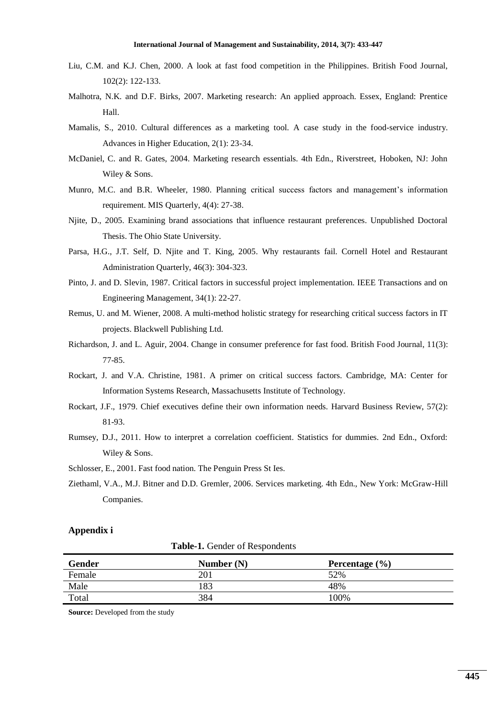- <span id="page-12-14"></span>Liu, C.M. and K.J. Chen, 2000. A look at fast food competition in the Philippines. British Food Journal, 102(2): 122-133.
- <span id="page-12-11"></span>Malhotra, N.K. and D.F. Birks, 2007. Marketing research: An applied approach. Essex, England: Prentice Hall.
- <span id="page-12-8"></span>Mamalis, S., 2010. Cultural differences as a marketing tool. A case study in the food-service industry. Advances in Higher Education, 2(1): 23-34.
- <span id="page-12-12"></span>McDaniel, C. and R. Gates, 2004. Marketing research essentials. 4th Edn., Riverstreet, Hoboken, NJ: John Wiley & Sons.
- <span id="page-12-4"></span>Munro, M.C. and B.R. Wheeler, 1980. Planning critical success factors and management"s information requirement. MIS Quarterly, 4(4): 27-38.
- <span id="page-12-7"></span>Njite, D., 2005. Examining brand associations that influence restaurant preferences. Unpublished Doctoral Thesis. The Ohio State University.
- <span id="page-12-1"></span>Parsa, H.G., J.T. Self, D. Njite and T. King, 2005. Why restaurants fail. Cornell Hotel and Restaurant Administration Quarterly, 46(3): 304-323.
- <span id="page-12-5"></span>Pinto, J. and D. Slevin, 1987. Critical factors in successful project implementation. IEEE Transactions and on Engineering Management, 34(1): 22-27.
- <span id="page-12-6"></span>Remus, U. and M. Wiener, 2008. A multi-method holistic strategy for researching critical success factors in IT projects. Blackwell Publishing Ltd.
- <span id="page-12-9"></span>Richardson, J. and L. Aguir, 2004. Change in consumer preference for fast food. British Food Journal, 11(3): 77-85.
- <span id="page-12-0"></span>Rockart, J. and V.A. Christine, 1981. A primer on critical success factors. Cambridge, MA: Center for Information Systems Research, Massachusetts Institute of Technology.
- <span id="page-12-3"></span>Rockart, J.F., 1979. Chief executives define their own information needs. Harvard Business Review, 57(2): 81-93.
- <span id="page-12-13"></span>Rumsey, D.J., 2011. How to interpret a correlation coefficient. Statistics for dummies. 2nd Edn., Oxford: Wiley & Sons.
- <span id="page-12-2"></span>Schlosser, E., 2001. Fast food nation. The Penguin Press St Ies.
- <span id="page-12-10"></span>Ziethaml, V.A., M.J. Bitner and D.D. Gremler, 2006. Services marketing. 4th Edn., New York: McGraw-Hill Companies.

#### **Appendix i**

| Table-1. Gender of Respondents |  |
|--------------------------------|--|
|--------------------------------|--|

| Gender | Number $(N)$ | Percentage $(\% )$ |
|--------|--------------|--------------------|
| Female | 20 î         | 52%                |
| Male   | 183          | 48%                |
| Total  | 384          | 100%               |

**Source:** Developed from the study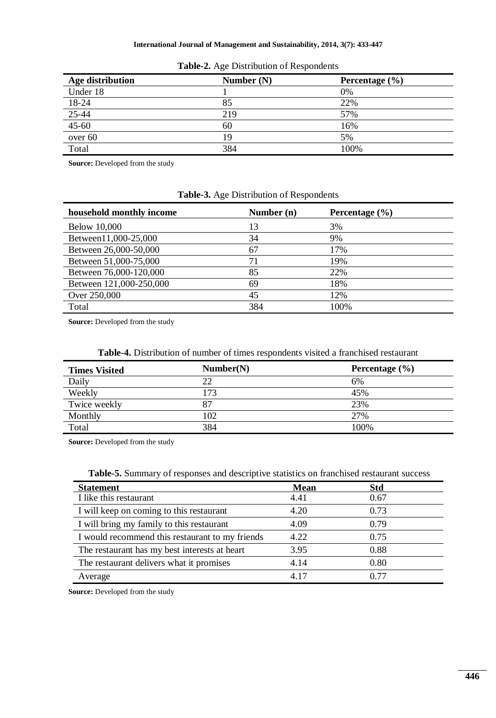| <b>Age distribution</b> | Number $(N)$ | Percentage $(\% )$ |
|-------------------------|--------------|--------------------|
| Under 18                |              | 0%                 |
| 18-24                   | 85           | 22%                |
|                         | 219          | 57%                |
| $\frac{25-44}{45-60}$   | 60           | 16%                |
| over 60                 | 19           | 5%                 |
| Total                   | 384          | 100%               |

**Table-2.** Age Distribution of Respondents

**Source:** Developed from the study

## **Table-3.** Age Distribution of Respondents

| household monthly income | Number $(n)$ | Percentage $(\% )$ |
|--------------------------|--------------|--------------------|
| <b>Below 10,000</b>      | 13           | 3%                 |
| Between11,000-25,000     | 34           | 9%                 |
| Between 26,000-50,000    | 67           | 17%                |
| Between 51,000-75,000    | 71           | 19%                |
| Between 76,000-120,000   | 85           | 22%                |
| Between 121,000-250,000  | 69           | 18%                |
| Over 250,000             | 45           | 12%                |
| Total                    | 384          | 100%               |

**Source:** Developed from the study

| <b>Times Visited</b> | Number(N) | Percentage $(\% )$ |
|----------------------|-----------|--------------------|
| Daily                | 22        | 6%                 |
| Weekly               | 173       | 45%                |
| Twice weekly         | 87        | 23%                |
| Monthly              | 102       | 27%                |
| Total                | 384       | 100%               |

**Source:** Developed from the study

|  |  | <b>Table-5.</b> Summary of responses and descriptive statistics on franchised restaurant success |  |
|--|--|--------------------------------------------------------------------------------------------------|--|
|--|--|--------------------------------------------------------------------------------------------------|--|

| <b>Statement</b>                                | <b>Mean</b> | <b>Std</b> |  |
|-------------------------------------------------|-------------|------------|--|
| I like this restaurant                          | 4.41        | 0.67       |  |
| I will keep on coming to this restaurant        | 4.20        | 0.73       |  |
| I will bring my family to this restaurant       | 4.09        | 0.79       |  |
| I would recommend this restaurant to my friends | 4.22        | 0.75       |  |
| The restaurant has my best interests at heart   | 3.95        | 0.88       |  |
| The restaurant delivers what it promises        | 4.14        | 0.80       |  |
| Average                                         | 4.17        | 0.77       |  |

**Source:** Developed from the study